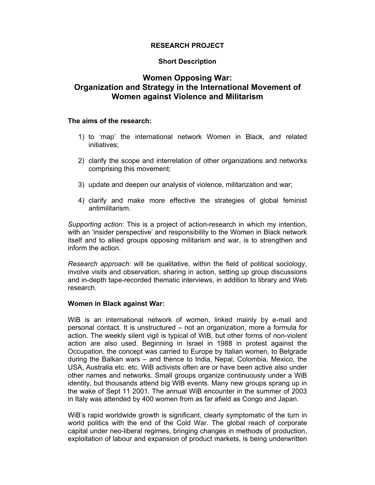## **RESEARCH PROJECT**

## **Short Description**

# **Women Opposing War: Organization and Strategy in the International Movement of Women against Violence and Militarism**

#### **The aims of the research:**

- 1) to 'map' the international network Women in Black, and related initiatives;
- 2) clarify the scope and interrelation of other organizations and networks comprising this movement;
- 3) update and deepen our analysis of violence, militarization and war;
- 4) clarify and make more effective the strategies of global feminist antimilitarism.

*Supporting action:* This is a project of action-research in which my intention, with an 'insider perspective' and responsibility to the Women in Black network itself and to allied groups opposing militarism and war, is to strengthen and inform the action.

*Research approach:* will be qualitative, within the field of political sociology, involve visits and observation, sharing in action, setting up group discussions and in-depth tape-recorded thematic interviews, in addition to library and Web research.

#### **Women in Black against War:**

WiB is an international network of women, linked mainly by e-mail and personal contact. It is unstructured – not an organization, more a formula for action. The weekly silent vigil is typical of WiB, but other forms of non-violent action are also used. Beginning in Israel in 1988 in protest against the Occupation, the concept was carried to Europe by Italian women, to Belgrade during the Balkan wars – and thence to India, Nepal, Colombia, Mexico, the USA, Australia etc. etc. WiB activists often are or have been active also under other names and networks. Small groups organize continuously under a WiB identity, but thousands attend big WiB events. Many new groups sprang up in the wake of Sept 11 2001. The annual WiB encounter in the summer of 2003 in Italy was attended by 400 women from as far afield as Congo and Japan.

WiB's rapid worldwide growth is significant, clearly symptomatic of the turn in world politics with the end of the Cold War. The global reach of corporate capital under neo-liberal regimes, bringing changes in methods of production, exploitation of labour and expansion of product markets, is being underwritten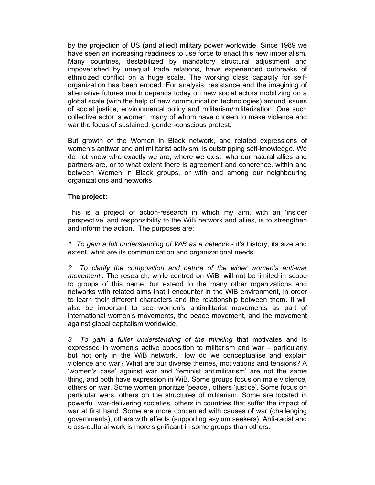by the projection of US (and allied) military power worldwide. Since 1989 we have seen an increasing readiness to use force to enact this new imperialism. Many countries, destabilized by mandatory structural adjustment and impoverished by unequal trade relations, have experienced outbreaks of ethnicized conflict on a huge scale. The working class capacity for selforganization has been eroded. For analysis, resistance and the imagining of alternative futures much depends today on new social actors mobilizing on a global scale (with the help of new communication technologies) around issues of social justice, environmental policy and militarism/militarization. One such collective actor is women, many of whom have chosen to make violence and war the focus of sustained, gender-conscious protest.

But growth of the Women in Black network, and related expressions of women's antiwar and antimilitarist activism, is outstripping self-knowledge. We do not know who exactly we are, where we exist, who our natural allies and partners are, or to what extent there is agreement and coherence, within and between Women in Black groups, or with and among our neighbouring organizations and networks.

## **The project:**

This is a project of action-research in which my aim, with an 'insider perspective' and responsibility to the WiB network and allies, is to strengthen and inform the action. The purposes are:

*1 To gain a full understanding of WiB as a network* - it's history, its size and extent, what are its communication and organizational needs.

*2 To clarify the composition and nature of the wider women's anti-war movement..* The research, while centred on WiB, will not be limited in scope to groups of this name, but extend to the many other organizations and networks with related aims that I encounter in the WiB environment, in order to learn their different characters and the relationship between them. It will also be important to see women's antimilitarist movements as part of international women's movements, the peace movement, and the movement against global capitalism worldwide.

*3 To gain a fuller understanding of the thinking* that motivates and is expressed in women's active opposition to militarism and war – particularly but not only in the WiB network. How do we conceptualise and explain violence and war? What are our diverse themes, motivations and tensions? A 'women's case' against war and 'feminist antimilitarism' are not the same thing, and both have expression in WiB. Some groups focus on male violence, others on war. Some women prioritize 'peace', others 'justice'. Some focus on particular wars, others on the structures of militarism. Some are located in powerful, war-delivering societies, others in countries that suffer the impact of war at first hand. Some are more concerned with causes of war (challenging governments), others with effects (supporting asylum seekers). Anti-racist and cross-cultural work is more significant in some groups than others.